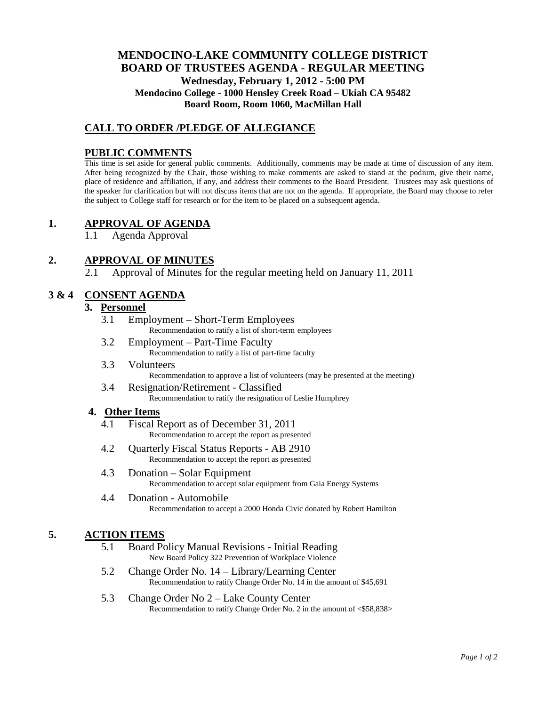# **MENDOCINO-LAKE COMMUNITY COLLEGE DISTRICT BOARD OF TRUSTEES AGENDA** - **REGULAR MEETING Wednesday, February 1, 2012 - 5:00 PM Mendocino College - 1000 Hensley Creek Road – Ukiah CA 95482 Board Room, Room 1060, MacMillan Hall**

# **CALL TO ORDER /PLEDGE OF ALLEGIANCE**

### **PUBLIC COMMENTS**

This time is set aside for general public comments. Additionally, comments may be made at time of discussion of any item. After being recognized by the Chair, those wishing to make comments are asked to stand at the podium, give their name, place of residence and affiliation, if any, and address their comments to the Board President. Trustees may ask questions of the speaker for clarification but will not discuss items that are not on the agenda. If appropriate, the Board may choose to refer the subject to College staff for research or for the item to be placed on a subsequent agenda.

## **1. APPROVAL OF AGENDA**

1.1 Agenda Approval

## **2. APPROVAL OF MINUTES**

2.1 Approval of Minutes for the regular meeting held on January 11, 2011

### **3 & 4 CONSENT AGENDA**

#### **3. Personnel**

- 3.1 Employment Short-Term Employees Recommendation to ratify a list of short-term employees
- 3.2 Employment Part-Time Faculty Recommendation to ratify a list of part-time faculty
- 3.3 Volunteers Recommendation to approve a list of volunteers (may be presented at the meeting)
- 3.4 Resignation/Retirement Classified Recommendation to ratify the resignation of Leslie Humphrey

#### **4. Other Items**

- 4.1 Fiscal Report as of December 31, 2011 Recommendation to accept the report as presented
- 4.2 Quarterly Fiscal Status Reports AB 2910 Recommendation to accept the report as presented
- 4.3 Donation Solar Equipment Recommendation to accept solar equipment from Gaia Energy Systems
- 4.4 Donation Automobile Recommendation to accept a 2000 Honda Civic donated by Robert Hamilton

## **5. ACTION ITEMS**

- 5.1 Board Policy Manual Revisions Initial Reading New Board Policy 322 Prevention of Workplace Violence
- 5.2 Change Order No. 14 Library/Learning Center Recommendation to ratify Change Order No. 14 in the amount of \$45,691
- 5.3 Change Order No 2 Lake County Center Recommendation to ratify Change Order No. 2 in the amount of <\$58,838>